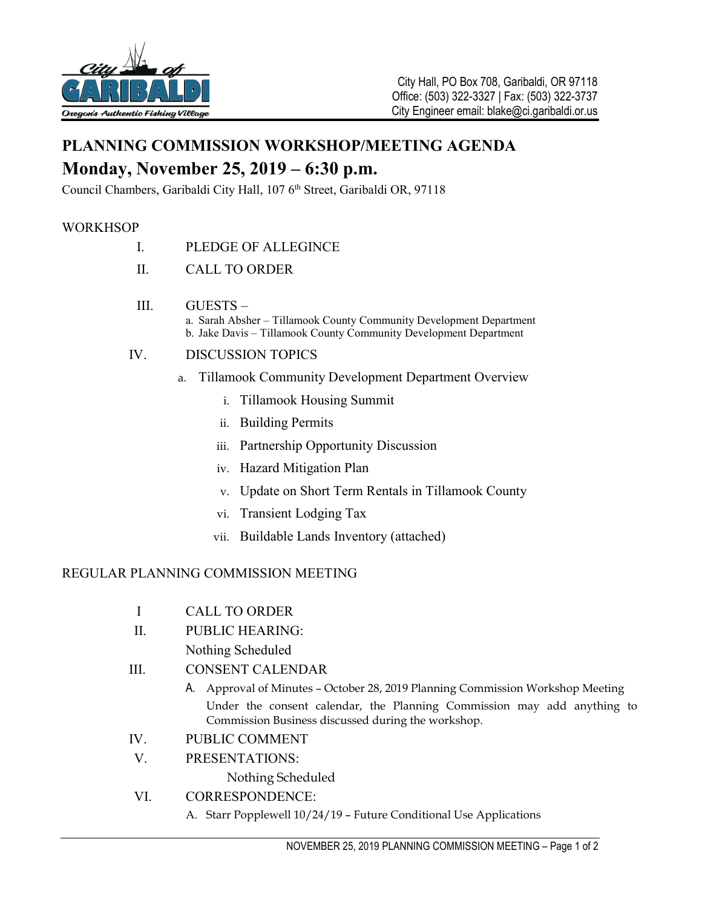

# **PLANNING COMMISSION WORKSHOP/MEETING AGENDA Monday, November 25, 2019 – 6:30 p.m.**

Council Chambers, Garibaldi City Hall, 107 6<sup>th</sup> Street, Garibaldi OR, 97118

## **WORKHSOP**

- I. PLEDGE OF ALLEGINCE
- II. CALL TO ORDER
- III. GUESTS
	- a. Sarah Absher Tillamook County Community Development Department b. Jake Davis – Tillamook County Community Development Department

### IV. DISCUSSION TOPICS

- a. Tillamook Community Development Department Overview
	- i. Tillamook Housing Summit
	- ii. Building Permits
	- iii. Partnership Opportunity Discussion
	- iv. Hazard Mitigation Plan
	- v. Update on Short Term Rentals in Tillamook County
	- vi. Transient Lodging Tax
	- vii. Buildable Lands Inventory (attached)

### REGULAR PLANNING COMMISSION MEETING

II. PUBLIC HEARING:

Nothing Scheduled

- III. CONSENT CALENDAR
	- A. Approval of Minutes October 28, 2019 Planning Commission Workshop Meeting Under the consent calendar, the Planning Commission may add anything to Commission Business discussed during the workshop.
- IV. PUBLIC COMMENT
- V. PRESENTATIONS:

Nothing Scheduled

### VI. CORRESPONDENCE:

A. Starr Popplewell 10/24/19 – Future Conditional Use Applications